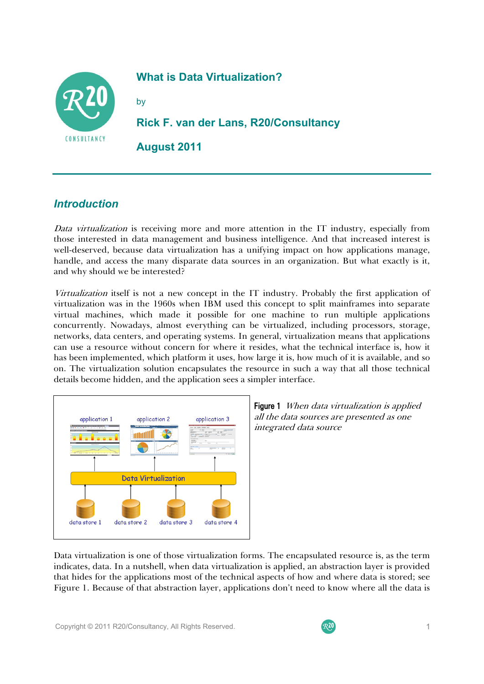

## **What is Data Virtualization?**

by

**Rick F. van der Lans, R20/Consultancy** 

**August 2011**

## *Introduction*

Data virtualization is receiving more and more attention in the IT industry, especially from those interested in data management and business intelligence. And that increased interest is well-deserved, because data virtualization has a unifying impact on how applications manage, handle, and access the many disparate data sources in an organization. But what exactly is it, and why should we be interested?

Virtualization itself is not a new concept in the IT industry. Probably the first application of virtualization was in the 1960s when IBM used this concept to split mainframes into separate virtual machines, which made it possible for one machine to run multiple applications concurrently. Nowadays, almost everything can be virtualized, including processors, storage, networks, data centers, and operating systems. In general, virtualization means that applications can use a resource without concern for where it resides, what the technical interface is, how it has been implemented, which platform it uses, how large it is, how much of it is available, and so on. The virtualization solution encapsulates the resource in such a way that all those technical details become hidden, and the application sees a simpler interface.



Figure 1 When data virtualization is applied all the data sources are presented as one integrated data source

Data virtualization is one of those virtualization forms. The encapsulated resource is, as the term indicates, data. In a nutshell, when data virtualization is applied, an abstraction layer is provided that hides for the applications most of the technical aspects of how and where data is stored; see Figure 1. Because of that abstraction layer, applications don't need to know where all the data is

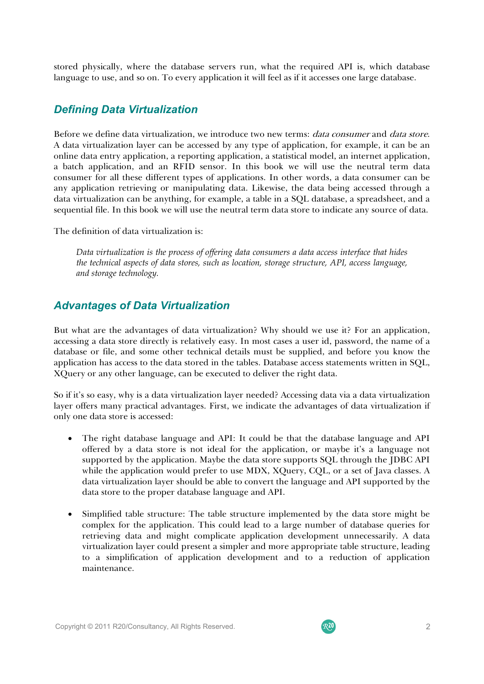stored physically, where the database servers run, what the required API is, which database language to use, and so on. To every application it will feel as if it accesses one large database.

### *Defining Data Virtualization*

Before we define data virtualization, we introduce two new terms: *data consumer* and *data store*. A data virtualization layer can be accessed by any type of application, for example, it can be an online data entry application, a reporting application, a statistical model, an internet application, a batch application, and an RFID sensor. In this book we will use the neutral term data consumer for all these different types of applications. In other words, a data consumer can be any application retrieving or manipulating data. Likewise, the data being accessed through a data virtualization can be anything, for example, a table in a SQL database, a spreadsheet, and a sequential file. In this book we will use the neutral term data store to indicate any source of data.

The definition of data virtualization is:

*Data virtualization is the process of offering data consumers a data access interface that hides the technical aspects of data stores, such as location, storage structure, API, access language, and storage technology.* 

### *Advantages of Data Virtualization*

But what are the advantages of data virtualization? Why should we use it? For an application, accessing a data store directly is relatively easy. In most cases a user id, password, the name of a database or file, and some other technical details must be supplied, and before you know the application has access to the data stored in the tables. Database access statements written in SQL, XQuery or any other language, can be executed to deliver the right data.

So if it's so easy, why is a data virtualization layer needed? Accessing data via a data virtualization layer offers many practical advantages. First, we indicate the advantages of data virtualization if only one data store is accessed:

- The right database language and API: It could be that the database language and API offered by a data store is not ideal for the application, or maybe it's a language not supported by the application. Maybe the data store supports SQL through the JDBC API while the application would prefer to use MDX, XQuery, CQL, or a set of Java classes. A data virtualization layer should be able to convert the language and API supported by the data store to the proper database language and API.
- Simplified table structure: The table structure implemented by the data store might be complex for the application. This could lead to a large number of database queries for retrieving data and might complicate application development unnecessarily. A data virtualization layer could present a simpler and more appropriate table structure, leading to a simplification of application development and to a reduction of application maintenance.

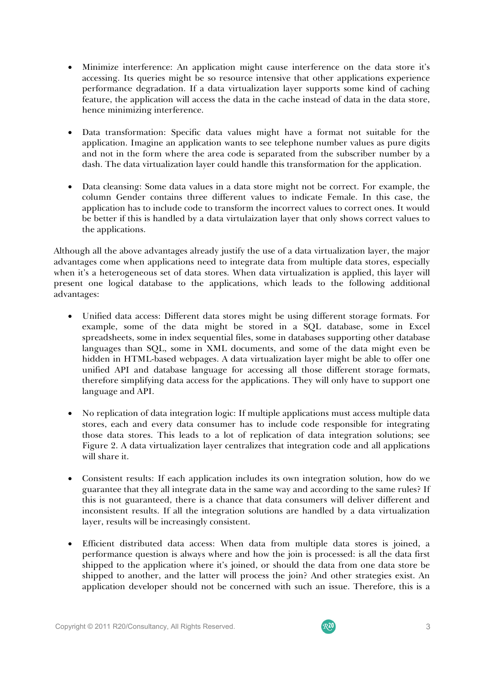- Minimize interference: An application might cause interference on the data store it's accessing. Its queries might be so resource intensive that other applications experience performance degradation. If a data virtualization layer supports some kind of caching feature, the application will access the data in the cache instead of data in the data store, hence minimizing interference.
- Data transformation: Specific data values might have a format not suitable for the application. Imagine an application wants to see telephone number values as pure digits and not in the form where the area code is separated from the subscriber number by a dash. The data virtualization layer could handle this transformation for the application.
- Data cleansing: Some data values in a data store might not be correct. For example, the column Gender contains three different values to indicate Female. In this case, the application has to include code to transform the incorrect values to correct ones. It would be better if this is handled by a data virtulaization layer that only shows correct values to the applications.

Although all the above advantages already justify the use of a data virtualization layer, the major advantages come when applications need to integrate data from multiple data stores, especially when it's a heterogeneous set of data stores. When data virtualization is applied, this layer will present one logical database to the applications, which leads to the following additional advantages:

- Unified data access: Different data stores might be using different storage formats. For example, some of the data might be stored in a SQL database, some in Excel spreadsheets, some in index sequential files, some in databases supporting other database languages than SQL, some in XML documents, and some of the data might even be hidden in HTML-based webpages. A data virtualization layer might be able to offer one unified API and database language for accessing all those different storage formats, therefore simplifying data access for the applications. They will only have to support one language and API.
- No replication of data integration logic: If multiple applications must access multiple data stores, each and every data consumer has to include code responsible for integrating those data stores. This leads to a lot of replication of data integration solutions; see Figure 2. A data virtualization layer centralizes that integration code and all applications will share it.
- Consistent results: If each application includes its own integration solution, how do we guarantee that they all integrate data in the same way and according to the same rules? If this is not guaranteed, there is a chance that data consumers will deliver different and inconsistent results. If all the integration solutions are handled by a data virtualization layer, results will be increasingly consistent.
- Efficient distributed data access: When data from multiple data stores is joined, a performance question is always where and how the join is processed: is all the data first shipped to the application where it's joined, or should the data from one data store be shipped to another, and the latter will process the join? And other strategies exist. An application developer should not be concerned with such an issue. Therefore, this is a

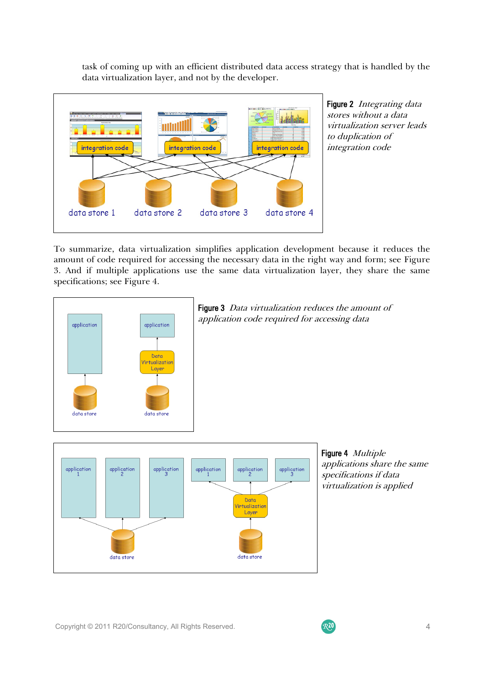task of coming up with an efficient distributed data access strategy that is handled by the data virtualization layer, and not by the developer.



Figure 2 Integrating data stores without a data virtualization server leads to duplication of integration code

To summarize, data virtualization simplifies application development because it reduces the amount of code required for accessing the necessary data in the right way and form; see Figure 3. And if multiple applications use the same data virtualization layer, they share the same specifications; see Figure 4.





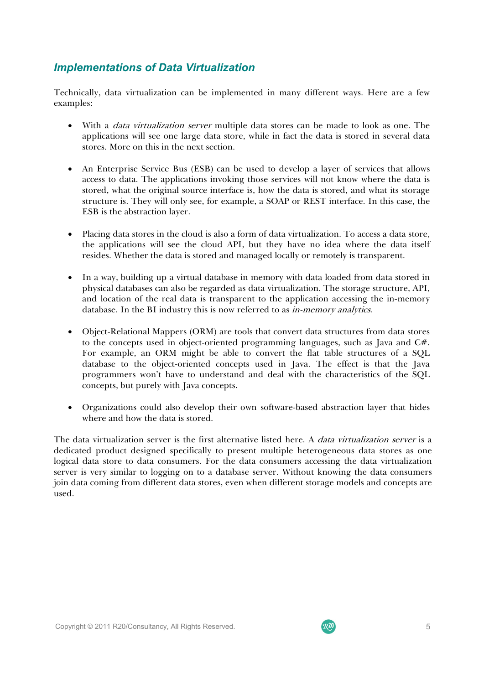# *Implementations of Data Virtualization*

Technically, data virtualization can be implemented in many different ways. Here are a few examples:

- With a *data virtualization server* multiple data stores can be made to look as one. The applications will see one large data store, while in fact the data is stored in several data stores. More on this in the next section.
- An Enterprise Service Bus (ESB) can be used to develop a layer of services that allows access to data. The applications invoking those services will not know where the data is stored, what the original source interface is, how the data is stored, and what its storage structure is. They will only see, for example, a SOAP or REST interface. In this case, the ESB is the abstraction layer.
- Placing data stores in the cloud is also a form of data virtualization. To access a data store, the applications will see the cloud API, but they have no idea where the data itself resides. Whether the data is stored and managed locally or remotely is transparent.
- In a way, building up a virtual database in memory with data loaded from data stored in physical databases can also be regarded as data virtualization. The storage structure, API, and location of the real data is transparent to the application accessing the in-memory database. In the BI industry this is now referred to as *in-memory analytics*.
- Object-Relational Mappers (ORM) are tools that convert data structures from data stores to the concepts used in object-oriented programming languages, such as Java and C#. For example, an ORM might be able to convert the flat table structures of a SQL database to the object-oriented concepts used in Java. The effect is that the Java programmers won't have to understand and deal with the characteristics of the SQL concepts, but purely with Java concepts.
- Organizations could also develop their own software-based abstraction layer that hides where and how the data is stored.

The data virtualization server is the first alternative listed here. A *data virtualization server* is a dedicated product designed specifically to present multiple heterogeneous data stores as one logical data store to data consumers. For the data consumers accessing the data virtualization server is very similar to logging on to a database server. Without knowing the data consumers join data coming from different data stores, even when different storage models and concepts are used.